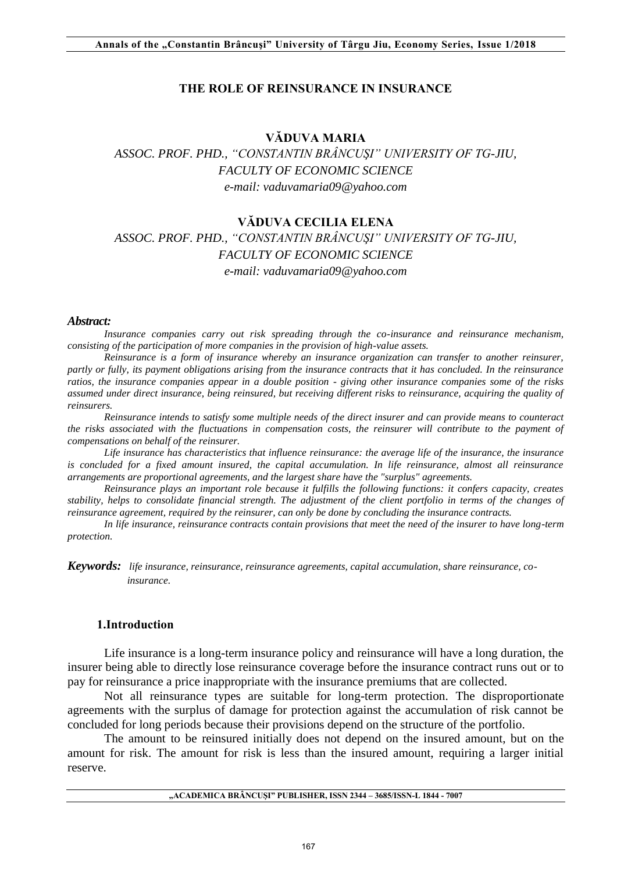#### **THE ROLE OF REINSURANCE IN INSURANCE**

### **VĂDUVA MARIA**

# *ASSOC. PROF. PHD., "CONSTANTIN BRÂNCUŞI" UNIVERSITY OF TG-JIU, FACULTY OF ECONOMIC SCIENCE e-mail: vaduvamaria09@yahoo.com*

#### **VĂDUVA CECILIA ELENA**

# *ASSOC. PROF. PHD., "CONSTANTIN BRÂNCUŞI" UNIVERSITY OF TG-JIU, FACULTY OF ECONOMIC SCIENCE e-mail: vaduvamaria09@yahoo.com*

#### *Abstract:*

*Insurance companies carry out risk spreading through the co-insurance and reinsurance mechanism, consisting of the participation of more companies in the provision of high-value assets.* 

*Reinsurance is a form of insurance whereby an insurance organization can transfer to another reinsurer, partly or fully, its payment obligations arising from the insurance contracts that it has concluded. In the reinsurance ratios, the insurance companies appear in a double position - giving other insurance companies some of the risks assumed under direct insurance, being reinsured, but receiving different risks to reinsurance, acquiring the quality of reinsurers.* 

*Reinsurance intends to satisfy some multiple needs of the direct insurer and can provide means to counteract the risks associated with the fluctuations in compensation costs, the reinsurer will contribute to the payment of compensations on behalf of the reinsurer.* 

*Life insurance has characteristics that influence reinsurance: the average life of the insurance, the insurance is concluded for a fixed amount insured, the capital accumulation. In life reinsurance, almost all reinsurance arrangements are proportional agreements, and the largest share have the "surplus" agreements.* 

*Reinsurance plays an important role because it fulfills the following functions: it confers capacity, creates stability, helps to consolidate financial strength. The adjustment of the client portfolio in terms of the changes of reinsurance agreement, required by the reinsurer, can only be done by concluding the insurance contracts.* 

*In life insurance, reinsurance contracts contain provisions that meet the need of the insurer to have long-term protection.* 

*Keywords: life insurance, reinsurance, reinsurance agreements, capital accumulation, share reinsurance, co insurance.* 

#### **1.Introduction**

Life insurance is a long-term insurance policy and reinsurance will have a long duration, the insurer being able to directly lose reinsurance coverage before the insurance contract runs out or to pay for reinsurance a price inappropriate with the insurance premiums that are collected.

Not all reinsurance types are suitable for long-term protection. The disproportionate agreements with the surplus of damage for protection against the accumulation of risk cannot be concluded for long periods because their provisions depend on the structure of the portfolio.

The amount to be reinsured initially does not depend on the insured amount, but on the amount for risk. The amount for risk is less than the insured amount, requiring a larger initial reserve.

|  |  | "ACADEMICA BRÂNCUȘI" PUBLISHER, ISSN 2344 - 3685/ISSN-L 1844 - 7007 |  |
|--|--|---------------------------------------------------------------------|--|
|--|--|---------------------------------------------------------------------|--|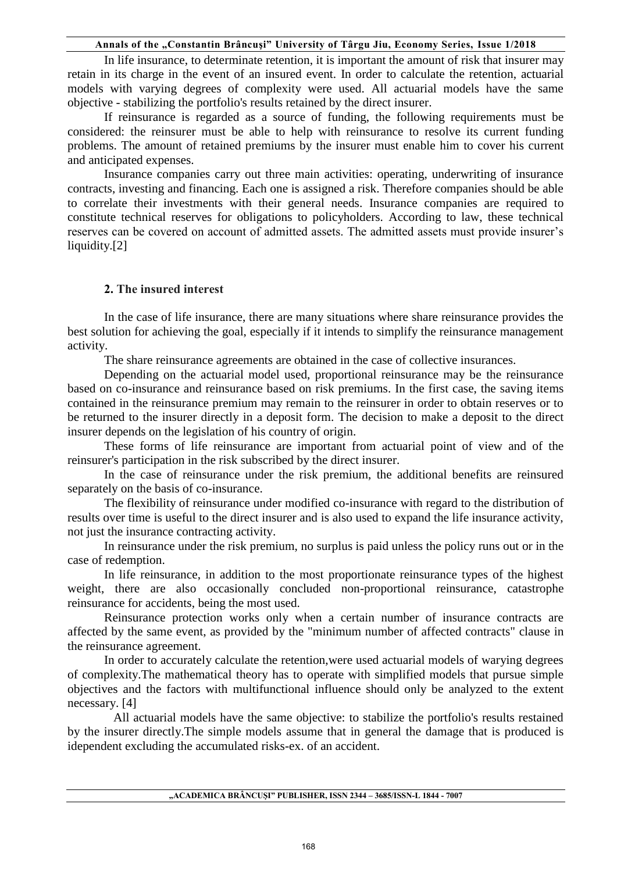In life insurance, to determinate retention, it is important the amount of risk that insurer may retain in its charge in the event of an insured event. In order to calculate the retention, actuarial models with varying degrees of complexity were used. All actuarial models have the same objective - stabilizing the portfolio's results retained by the direct insurer.

If reinsurance is regarded as a source of funding, the following requirements must be considered: the reinsurer must be able to help with reinsurance to resolve its current funding problems. The amount of retained premiums by the insurer must enable him to cover his current and anticipated expenses.

Insurance companies carry out three main activities: operating, underwriting of insurance contracts, investing and financing. Each one is assigned a risk. Therefore companies should be able to correlate their investments with their general needs. Insurance companies are required to constitute technical reserves for obligations to policyholders. According to law, these technical reserves can be covered on account of admitted assets. The admitted assets must provide insurer's liquidity.[2]

## **2. The insured interest**

In the case of life insurance, there are many situations where share reinsurance provides the best solution for achieving the goal, especially if it intends to simplify the reinsurance management activity.

The share reinsurance agreements are obtained in the case of collective insurances.

Depending on the actuarial model used, proportional reinsurance may be the reinsurance based on co-insurance and reinsurance based on risk premiums. In the first case, the saving items contained in the reinsurance premium may remain to the reinsurer in order to obtain reserves or to be returned to the insurer directly in a deposit form. The decision to make a deposit to the direct insurer depends on the legislation of his country of origin.

These forms of life reinsurance are important from actuarial point of view and of the reinsurer's participation in the risk subscribed by the direct insurer.

In the case of reinsurance under the risk premium, the additional benefits are reinsured separately on the basis of co-insurance.

The flexibility of reinsurance under modified co-insurance with regard to the distribution of results over time is useful to the direct insurer and is also used to expand the life insurance activity, not just the insurance contracting activity.

In reinsurance under the risk premium, no surplus is paid unless the policy runs out or in the case of redemption.

In life reinsurance, in addition to the most proportionate reinsurance types of the highest weight, there are also occasionally concluded non-proportional reinsurance, catastrophe reinsurance for accidents, being the most used.

Reinsurance protection works only when a certain number of insurance contracts are affected by the same event, as provided by the "minimum number of affected contracts" clause in the reinsurance agreement.

In order to accurately calculate the retention,were used actuarial models of warying degrees of complexity.The mathematical theory has to operate with simplified models that pursue simple objectives and the factors with multifunctional influence should only be analyzed to the extent necessary. [4]

 All actuarial models have the same objective: to stabilize the portfolio's results restained by the insurer directly.The simple models assume that in general the damage that is produced is idependent excluding the accumulated risks-ex. of an accident.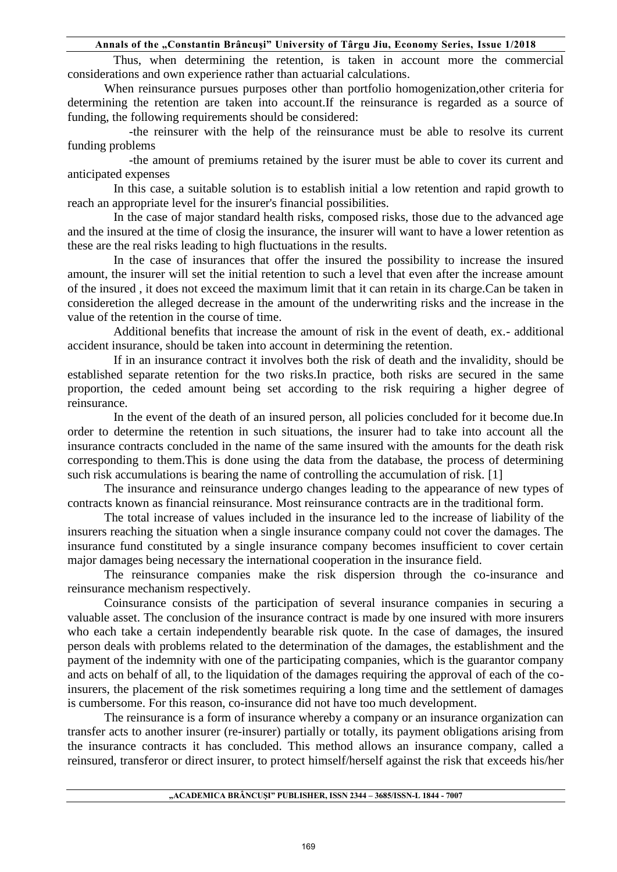Thus, when determining the retention, is taken in account more the commercial considerations and own experience rather than actuarial calculations.

When reinsurance pursues purposes other than portfolio homogenization,other criteria for determining the retention are taken into account.If the reinsurance is regarded as a source of funding, the following requirements should be considered:

 -the reinsurer with the help of the reinsurance must be able to resolve its current funding problems

 -the amount of premiums retained by the isurer must be able to cover its current and anticipated expenses

 In this case, a suitable solution is to establish initial a low retention and rapid growth to reach an appropriate level for the insurer's financial possibilities.

 In the case of major standard health risks, composed risks, those due to the advanced age and the insured at the time of closig the insurance, the insurer will want to have a lower retention as these are the real risks leading to high fluctuations in the results.

 In the case of insurances that offer the insured the possibility to increase the insured amount, the insurer will set the initial retention to such a level that even after the increase amount of the insured , it does not exceed the maximum limit that it can retain in its charge.Can be taken in consideretion the alleged decrease in the amount of the underwriting risks and the increase in the value of the retention in the course of time.

 Additional benefits that increase the amount of risk in the event of death, ex.- additional accident insurance, should be taken into account in determining the retention.

 If in an insurance contract it involves both the risk of death and the invalidity, should be established separate retention for the two risks.In practice, both risks are secured in the same proportion, the ceded amount being set according to the risk requiring a higher degree of reinsurance.

 In the event of the death of an insured person, all policies concluded for it become due.In order to determine the retention in such situations, the insurer had to take into account all the insurance contracts concluded in the name of the same insured with the amounts for the death risk corresponding to them.This is done using the data from the database, the process of determining such risk accumulations is bearing the name of controlling the accumulation of risk. [1]

The insurance and reinsurance undergo changes leading to the appearance of new types of contracts known as financial reinsurance. Most reinsurance contracts are in the traditional form.

The total increase of values included in the insurance led to the increase of liability of the insurers reaching the situation when a single insurance company could not cover the damages. The insurance fund constituted by a single insurance company becomes insufficient to cover certain major damages being necessary the international cooperation in the insurance field.

The reinsurance companies make the risk dispersion through the co-insurance and reinsurance mechanism respectively.

Coinsurance consists of the participation of several insurance companies in securing a valuable asset. The conclusion of the insurance contract is made by one insured with more insurers who each take a certain independently bearable risk quote. In the case of damages, the insured person deals with problems related to the determination of the damages, the establishment and the payment of the indemnity with one of the participating companies, which is the guarantor company and acts on behalf of all, to the liquidation of the damages requiring the approval of each of the coinsurers, the placement of the risk sometimes requiring a long time and the settlement of damages is cumbersome. For this reason, co-insurance did not have too much development.

The reinsurance is a form of insurance whereby a company or an insurance organization can transfer acts to another insurer (re-insurer) partially or totally, its payment obligations arising from the insurance contracts it has concluded. This method allows an insurance company, called a reinsured, transferor or direct insurer, to protect himself/herself against the risk that exceeds his/her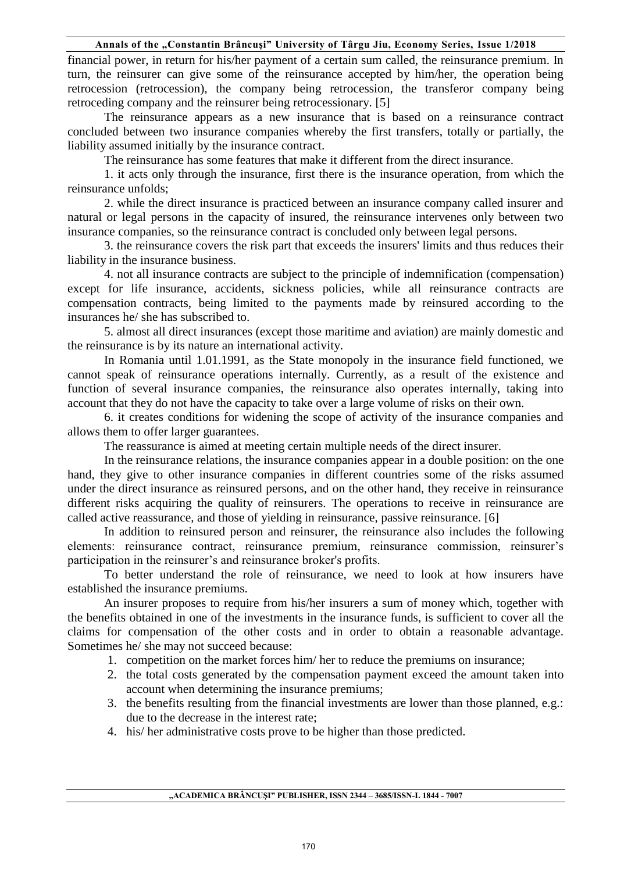financial power, in return for his/her payment of a certain sum called, the reinsurance premium. In turn, the reinsurer can give some of the reinsurance accepted by him/her, the operation being retrocession (retrocession), the company being retrocession, the transferor company being retroceding company and the reinsurer being retrocessionary. [5]

The reinsurance appears as a new insurance that is based on a reinsurance contract concluded between two insurance companies whereby the first transfers, totally or partially, the liability assumed initially by the insurance contract.

The reinsurance has some features that make it different from the direct insurance.

1. it acts only through the insurance, first there is the insurance operation, from which the reinsurance unfolds;

2. while the direct insurance is practiced between an insurance company called insurer and natural or legal persons in the capacity of insured, the reinsurance intervenes only between two insurance companies, so the reinsurance contract is concluded only between legal persons.

3. the reinsurance covers the risk part that exceeds the insurers' limits and thus reduces their liability in the insurance business.

4. not all insurance contracts are subject to the principle of indemnification (compensation) except for life insurance, accidents, sickness policies, while all reinsurance contracts are compensation contracts, being limited to the payments made by reinsured according to the insurances he/ she has subscribed to.

5. almost all direct insurances (except those maritime and aviation) are mainly domestic and the reinsurance is by its nature an international activity.

In Romania until 1.01.1991, as the State monopoly in the insurance field functioned, we cannot speak of reinsurance operations internally. Currently, as a result of the existence and function of several insurance companies, the reinsurance also operates internally, taking into account that they do not have the capacity to take over a large volume of risks on their own.

6. it creates conditions for widening the scope of activity of the insurance companies and allows them to offer larger guarantees.

The reassurance is aimed at meeting certain multiple needs of the direct insurer.

In the reinsurance relations, the insurance companies appear in a double position: on the one hand, they give to other insurance companies in different countries some of the risks assumed under the direct insurance as reinsured persons, and on the other hand, they receive in reinsurance different risks acquiring the quality of reinsurers. The operations to receive in reinsurance are called active reassurance, and those of yielding in reinsurance, passive reinsurance. [6]

In addition to reinsured person and reinsurer, the reinsurance also includes the following elements: reinsurance contract, reinsurance premium, reinsurance commission, reinsurer's participation in the reinsurer's and reinsurance broker's profits.

To better understand the role of reinsurance, we need to look at how insurers have established the insurance premiums.

An insurer proposes to require from his/her insurers a sum of money which, together with the benefits obtained in one of the investments in the insurance funds, is sufficient to cover all the claims for compensation of the other costs and in order to obtain a reasonable advantage. Sometimes he/ she may not succeed because:

- 1. competition on the market forces him/ her to reduce the premiums on insurance;
- 2. the total costs generated by the compensation payment exceed the amount taken into account when determining the insurance premiums;
- 3. the benefits resulting from the financial investments are lower than those planned, e.g.: due to the decrease in the interest rate;
- 4. his/ her administrative costs prove to be higher than those predicted.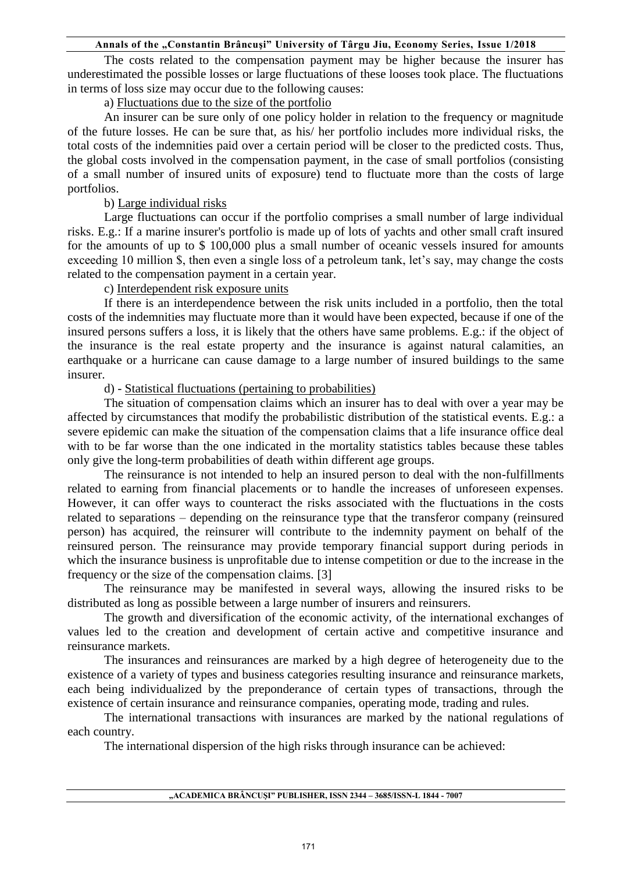The costs related to the compensation payment may be higher because the insurer has underestimated the possible losses or large fluctuations of these looses took place. The fluctuations in terms of loss size may occur due to the following causes:

a) Fluctuations due to the size of the portfolio

An insurer can be sure only of one policy holder in relation to the frequency or magnitude of the future losses. He can be sure that, as his/ her portfolio includes more individual risks, the total costs of the indemnities paid over a certain period will be closer to the predicted costs. Thus, the global costs involved in the compensation payment, in the case of small portfolios (consisting of a small number of insured units of exposure) tend to fluctuate more than the costs of large portfolios.

## b) Large individual risks

Large fluctuations can occur if the portfolio comprises a small number of large individual risks. E.g.: If a marine insurer's portfolio is made up of lots of yachts and other small craft insured for the amounts of up to \$ 100,000 plus a small number of oceanic vessels insured for amounts exceeding 10 million \$, then even a single loss of a petroleum tank, let's say, may change the costs related to the compensation payment in a certain year.

## c) Interdependent risk exposure units

If there is an interdependence between the risk units included in a portfolio, then the total costs of the indemnities may fluctuate more than it would have been expected, because if one of the insured persons suffers a loss, it is likely that the others have same problems. E.g.: if the object of the insurance is the real estate property and the insurance is against natural calamities, an earthquake or a hurricane can cause damage to a large number of insured buildings to the same insurer.

### d) - Statistical fluctuations (pertaining to probabilities)

The situation of compensation claims which an insurer has to deal with over a year may be affected by circumstances that modify the probabilistic distribution of the statistical events. E.g.: a severe epidemic can make the situation of the compensation claims that a life insurance office deal with to be far worse than the one indicated in the mortality statistics tables because these tables only give the long-term probabilities of death within different age groups.

The reinsurance is not intended to help an insured person to deal with the non-fulfillments related to earning from financial placements or to handle the increases of unforeseen expenses. However, it can offer ways to counteract the risks associated with the fluctuations in the costs related to separations – depending on the reinsurance type that the transferor company (reinsured person) has acquired, the reinsurer will contribute to the indemnity payment on behalf of the reinsured person. The reinsurance may provide temporary financial support during periods in which the insurance business is unprofitable due to intense competition or due to the increase in the frequency or the size of the compensation claims. [3]

The reinsurance may be manifested in several ways, allowing the insured risks to be distributed as long as possible between a large number of insurers and reinsurers.

The growth and diversification of the economic activity, of the international exchanges of values led to the creation and development of certain active and competitive insurance and reinsurance markets.

The insurances and reinsurances are marked by a high degree of heterogeneity due to the existence of a variety of types and business categories resulting insurance and reinsurance markets, each being individualized by the preponderance of certain types of transactions, through the existence of certain insurance and reinsurance companies, operating mode, trading and rules.

The international transactions with insurances are marked by the national regulations of each country.

The international dispersion of the high risks through insurance can be achieved: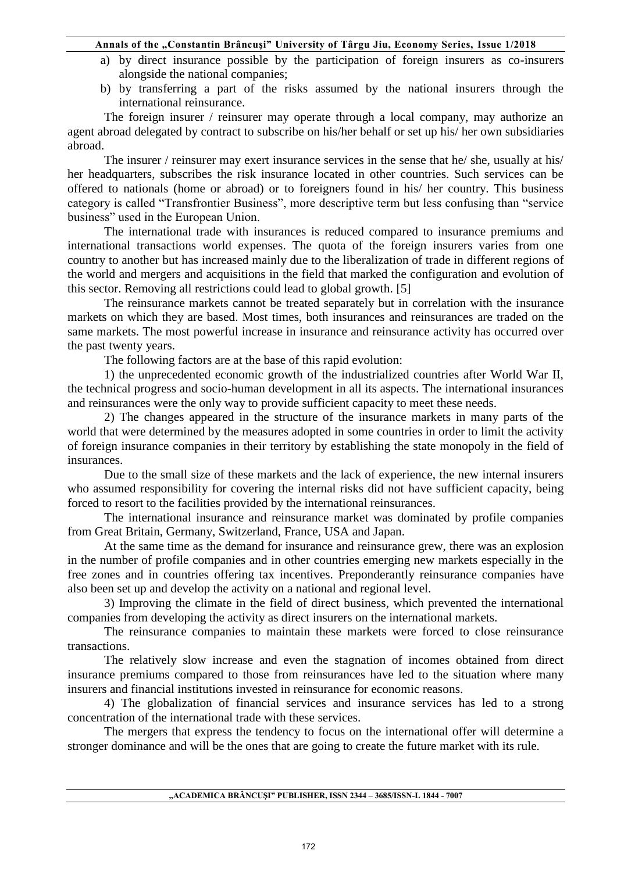#### Annals of the "Constantin Brâncuși" University of Târgu Jiu, Economy Series, Issue 1/2018

- a) by direct insurance possible by the participation of foreign insurers as co-insurers alongside the national companies;
- b) by transferring a part of the risks assumed by the national insurers through the international reinsurance.

The foreign insurer / reinsurer may operate through a local company, may authorize an agent abroad delegated by contract to subscribe on his/her behalf or set up his/ her own subsidiaries abroad.

The insurer / reinsurer may exert insurance services in the sense that he/ she, usually at his/ her headquarters, subscribes the risk insurance located in other countries. Such services can be offered to nationals (home or abroad) or to foreigners found in his/ her country. This business category is called "Transfrontier Business", more descriptive term but less confusing than "service business" used in the European Union.

The international trade with insurances is reduced compared to insurance premiums and international transactions world expenses. The quota of the foreign insurers varies from one country to another but has increased mainly due to the liberalization of trade in different regions of the world and mergers and acquisitions in the field that marked the configuration and evolution of this sector. Removing all restrictions could lead to global growth. [5]

The reinsurance markets cannot be treated separately but in correlation with the insurance markets on which they are based. Most times, both insurances and reinsurances are traded on the same markets. The most powerful increase in insurance and reinsurance activity has occurred over the past twenty years.

The following factors are at the base of this rapid evolution:

1) the unprecedented economic growth of the industrialized countries after World War II, the technical progress and socio-human development in all its aspects. The international insurances and reinsurances were the only way to provide sufficient capacity to meet these needs.

2) The changes appeared in the structure of the insurance markets in many parts of the world that were determined by the measures adopted in some countries in order to limit the activity of foreign insurance companies in their territory by establishing the state monopoly in the field of insurances.

Due to the small size of these markets and the lack of experience, the new internal insurers who assumed responsibility for covering the internal risks did not have sufficient capacity, being forced to resort to the facilities provided by the international reinsurances.

The international insurance and reinsurance market was dominated by profile companies from Great Britain, Germany, Switzerland, France, USA and Japan.

At the same time as the demand for insurance and reinsurance grew, there was an explosion in the number of profile companies and in other countries emerging new markets especially in the free zones and in countries offering tax incentives. Preponderantly reinsurance companies have also been set up and develop the activity on a national and regional level.

3) Improving the climate in the field of direct business, which prevented the international companies from developing the activity as direct insurers on the international markets.

The reinsurance companies to maintain these markets were forced to close reinsurance transactions.

The relatively slow increase and even the stagnation of incomes obtained from direct insurance premiums compared to those from reinsurances have led to the situation where many insurers and financial institutions invested in reinsurance for economic reasons.

4) The globalization of financial services and insurance services has led to a strong concentration of the international trade with these services.

The mergers that express the tendency to focus on the international offer will determine a stronger dominance and will be the ones that are going to create the future market with its rule.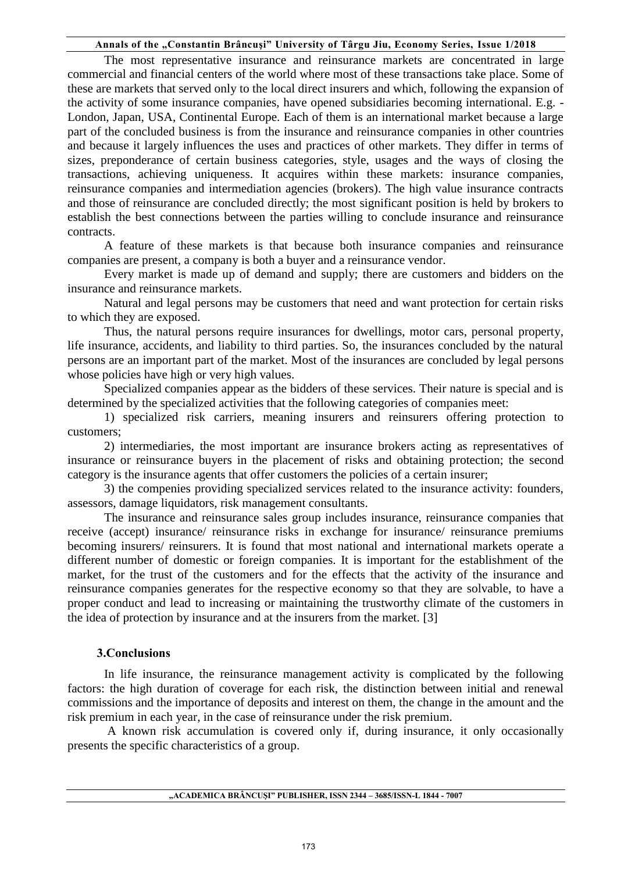### Annals of the "Constantin Brâncuși" University of Târgu Jiu, Economy Series, Issue 1/2018

The most representative insurance and reinsurance markets are concentrated in large commercial and financial centers of the world where most of these transactions take place. Some of these are markets that served only to the local direct insurers and which, following the expansion of the activity of some insurance companies, have opened subsidiaries becoming international. E.g. - London, Japan, USA, Continental Europe. Each of them is an international market because a large part of the concluded business is from the insurance and reinsurance companies in other countries and because it largely influences the uses and practices of other markets. They differ in terms of sizes, preponderance of certain business categories, style, usages and the ways of closing the transactions, achieving uniqueness. It acquires within these markets: insurance companies, reinsurance companies and intermediation agencies (brokers). The high value insurance contracts and those of reinsurance are concluded directly; the most significant position is held by brokers to establish the best connections between the parties willing to conclude insurance and reinsurance contracts.

A feature of these markets is that because both insurance companies and reinsurance companies are present, a company is both a buyer and a reinsurance vendor.

Every market is made up of demand and supply; there are customers and bidders on the insurance and reinsurance markets.

Natural and legal persons may be customers that need and want protection for certain risks to which they are exposed.

Thus, the natural persons require insurances for dwellings, motor cars, personal property, life insurance, accidents, and liability to third parties. So, the insurances concluded by the natural persons are an important part of the market. Most of the insurances are concluded by legal persons whose policies have high or very high values.

Specialized companies appear as the bidders of these services. Their nature is special and is determined by the specialized activities that the following categories of companies meet:

1) specialized risk carriers, meaning insurers and reinsurers offering protection to customers;

2) intermediaries, the most important are insurance brokers acting as representatives of insurance or reinsurance buyers in the placement of risks and obtaining protection; the second category is the insurance agents that offer customers the policies of a certain insurer;

3) the compenies providing specialized services related to the insurance activity: founders, assessors, damage liquidators, risk management consultants.

The insurance and reinsurance sales group includes insurance, reinsurance companies that receive (accept) insurance/ reinsurance risks in exchange for insurance/ reinsurance premiums becoming insurers/ reinsurers. It is found that most national and international markets operate a different number of domestic or foreign companies. It is important for the establishment of the market, for the trust of the customers and for the effects that the activity of the insurance and reinsurance companies generates for the respective economy so that they are solvable, to have a proper conduct and lead to increasing or maintaining the trustworthy climate of the customers in the idea of protection by insurance and at the insurers from the market. [3]

### **3.Conclusions**

In life insurance, the reinsurance management activity is complicated by the following factors: the high duration of coverage for each risk, the distinction between initial and renewal commissions and the importance of deposits and interest on them, the change in the amount and the risk premium in each year, in the case of reinsurance under the risk premium.

A known risk accumulation is covered only if, during insurance, it only occasionally presents the specific characteristics of a group.